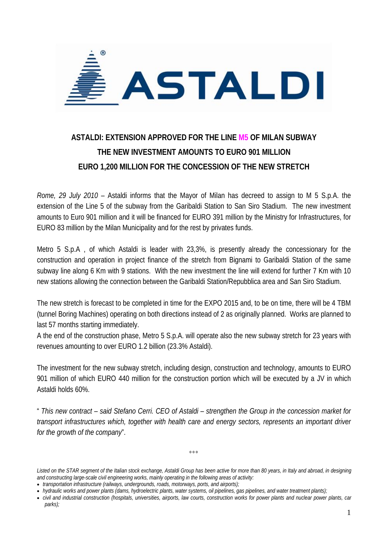

## **ASTALDI: EXTENSION APPROVED FOR THE LINE M5 OF MILAN SUBWAY THE NEW INVESTMENT AMOUNTS TO EURO 901 MILLION EURO 1,200 MILLION FOR THE CONCESSION OF THE NEW STRETCH**

*Rome, 29 July 2010* – Astaldi informs that the Mayor of Milan has decreed to assign to M 5 S.p.A. the extension of the Line 5 of the subway from the Garibaldi Station to San Siro Stadium. The new investment amounts to Euro 901 million and it will be financed for EURO 391 million by the Ministry for Infrastructures, for EURO 83 million by the Milan Municipality and for the rest by privates funds.

Metro 5 S.p.A , of which Astaldi is leader with 23,3%, is presently already the concessionary for the construction and operation in project finance of the stretch from Bignami to Garibaldi Station of the same subway line along 6 Km with 9 stations. With the new investment the line will extend for further 7 Km with 10 new stations allowing the connection between the Garibaldi Station/Repubblica area and San Siro Stadium.

The new stretch is forecast to be completed in time for the EXPO 2015 and, to be on time, there will be 4 TBM (tunnel Boring Machines) operating on both directions instead of 2 as originally planned. Works are planned to last 57 months starting immediately.

A the end of the construction phase, Metro 5 S.p.A. will operate also the new subway stretch for 23 years with revenues amounting to over EURO 1.2 billion (23.3% Astaldi).

The investment for the new subway stretch, including design, construction and technology, amounts to EURO 901 million of which EURO 440 million for the construction portion which will be executed by a JV in which Astaldi holds 60%.

" *This new contract – said Stefano Cerri. CEO of Astaldi – strengthen the Group in the concession market for transport infrastructures which, together with health care and energy sectors, represents an important driver for the growth of the company*".

*Listed on the STAR segment of the Italian stock exchange, Astaldi Group has been active for more than 80 years, in Italy and abroad, in designing and constructing large-scale civil engineering works, mainly operating in the following areas of activity:* 

 $^{\circ}$ °

<sup>•</sup> *transportation infrastructure (railways, undergrounds, roads, motorways, ports, and airports);* 

<sup>•</sup> *hydraulic works and power plants (dams, hydroelectric plants, water systems, oil pipelines, gas pipelines, and water treatment plants);* 

<sup>•</sup> *civil and industrial construction (hospitals, universities, airports, law courts, construction works for power plants and nuclear power plants, car parks);*